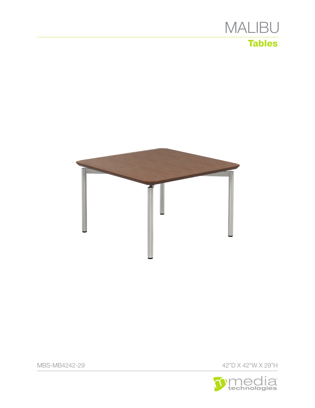





MBS-MB4242-29 42"D X 42"W X 29"H